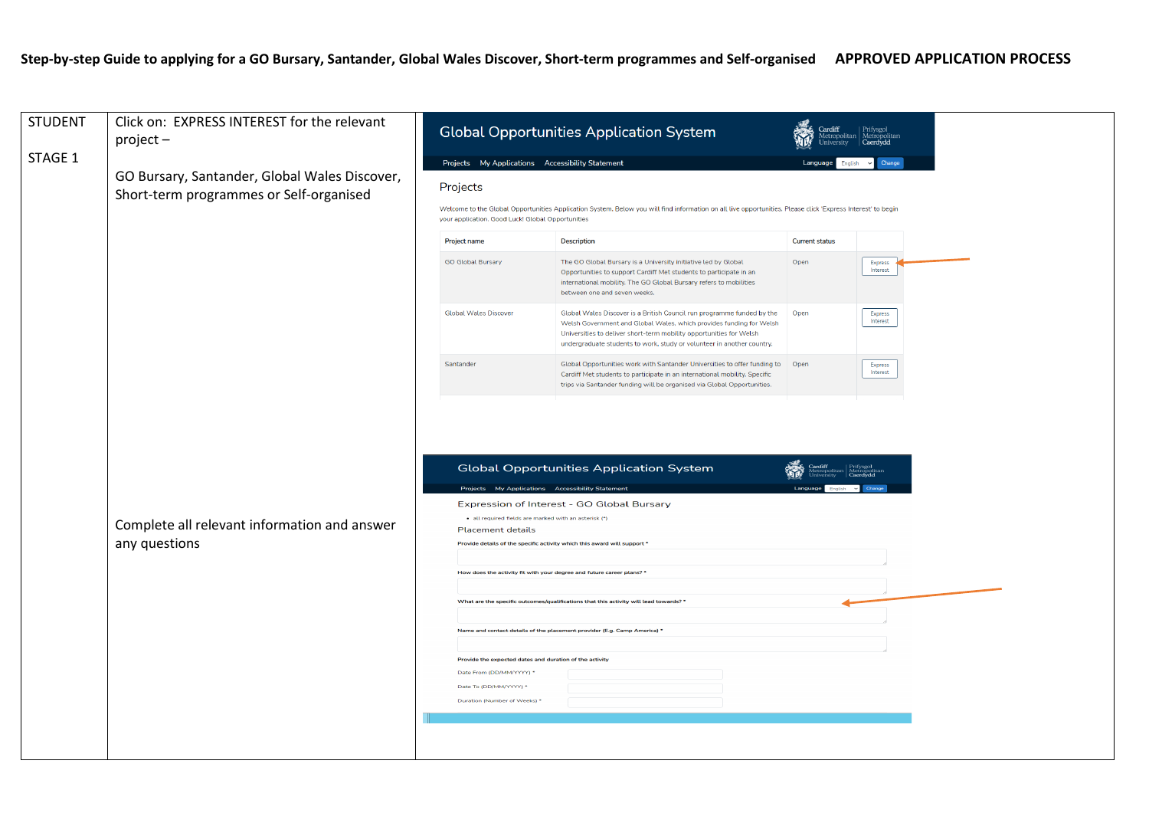## **Step-by-step Guide to applying for a GO Bursary, Santander, Global Wales Discover, Short-term programmes and Self-organised APPROVED APPLICATION PROCESS**

| <b>STUDENT</b> | Click on: EXPRESS INTEREST for the relevant<br>project-                                  |                                                              |                                                                                                                                                                                                                                                                                                                                                                                                                                           | <b>Global Opportunities Application System</b>                                                                                                                                                                                                                                                 |                       |                     |  |  |
|----------------|------------------------------------------------------------------------------------------|--------------------------------------------------------------|-------------------------------------------------------------------------------------------------------------------------------------------------------------------------------------------------------------------------------------------------------------------------------------------------------------------------------------------------------------------------------------------------------------------------------------------|------------------------------------------------------------------------------------------------------------------------------------------------------------------------------------------------------------------------------------------------------------------------------------------------|-----------------------|---------------------|--|--|
| STAGE 1        |                                                                                          | Projects My Applications Accessibility Statement<br>Language |                                                                                                                                                                                                                                                                                                                                                                                                                                           |                                                                                                                                                                                                                                                                                                |                       |                     |  |  |
|                | GO Bursary, Santander, Global Wales Discover,<br>Short-term programmes or Self-organised |                                                              | Projects                                                                                                                                                                                                                                                                                                                                                                                                                                  |                                                                                                                                                                                                                                                                                                |                       |                     |  |  |
|                |                                                                                          |                                                              | Welcome to the Global Opportunities Application System. Below you will find information on all live opportunities. Please click 'Express Interest' to begin<br>your application. Good Luck! Global Opportunities                                                                                                                                                                                                                          |                                                                                                                                                                                                                                                                                                |                       |                     |  |  |
|                |                                                                                          |                                                              | Project name                                                                                                                                                                                                                                                                                                                                                                                                                              | <b>Description</b>                                                                                                                                                                                                                                                                             | <b>Current status</b> |                     |  |  |
|                |                                                                                          |                                                              | <b>GO Global Bursary</b>                                                                                                                                                                                                                                                                                                                                                                                                                  | The GO Global Bursary is a University initiative led by Global<br>Opportunities to support Cardiff Met students to participate in an<br>international mobility. The GO Global Bursary refers to mobilities<br>between one and seven weeks.                                                     | Open                  | Express<br>Interest |  |  |
|                |                                                                                          |                                                              | <b>Global Wales Discover</b>                                                                                                                                                                                                                                                                                                                                                                                                              | Global Wales Discover is a British Council run programme funded by the<br>Welsh Government and Global Wales, which provides funding for Welsh<br>Universities to deliver short-term mobility opportunities for Welsh<br>undergraduate students to work, study or volunteer in another country. | Open                  | Express<br>Interest |  |  |
|                |                                                                                          |                                                              | Santander                                                                                                                                                                                                                                                                                                                                                                                                                                 | Global Opportunities work with Santander Universities to offer funding to Open<br>Cardiff Met students to participate in an international mobility. Specific<br>trips via Santander funding will be organised via Global Opportunities.                                                        |                       | Express<br>Interest |  |  |
|                | Complete all relevant information and answer<br>any questions                            |                                                              | Projects My Applications Accessibility Statement<br>all required fields are marked with an asterisk (*)<br><b>Placement details</b><br>Provide details of the specific activity which this award will support *<br>How does the activity fit with your degree and future career plans? *<br>Provide the expected dates and duration of the activity<br>Date From (DD/MM/YYYY) *<br>Date To (DD/MM/YYYY) *<br>Duration (Number of Weeks) * | <b>Global Opportunities Application System</b><br>Expression of Interest - GO Global Bursary<br>What are the specific outcomes/qualifications that this activity will lead towards? *<br>Name and contact details of the placement provider (E.g. Camp America) *                              |                       |                     |  |  |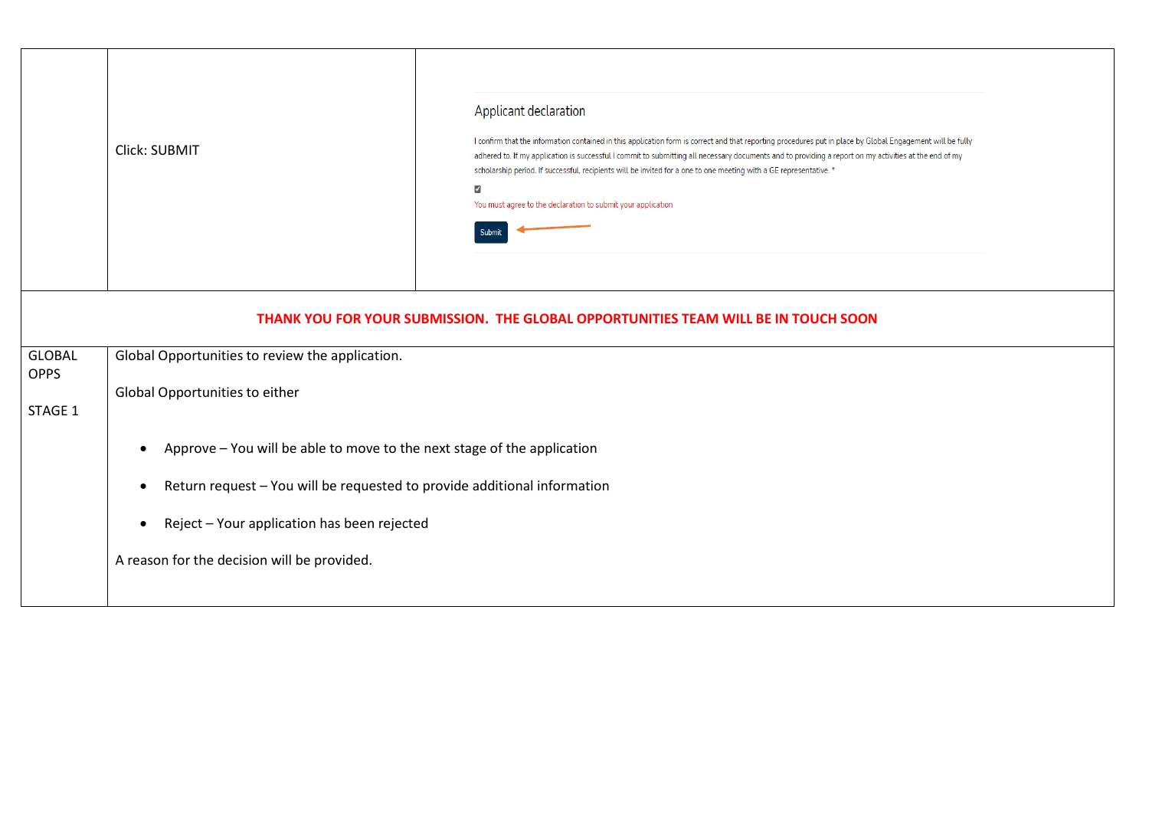|                              | Click: SUBMIT                                                                         | Applicant declaration<br>I confirm that the information contained in this application form is correct and that reporting procedures put in place by Global Engagement will be fully<br>adhered to. If my application is successful I commit to submitting all necessary documents and to providing a report on my activities at the end of my<br>scholarship period. If successful, recipients will be invited for a one to one meeting with a GE representative. *<br>$\overline{\mathbf{z}}$<br>You must agree to the declaration to submit your application |  |  |  |
|------------------------------|---------------------------------------------------------------------------------------|----------------------------------------------------------------------------------------------------------------------------------------------------------------------------------------------------------------------------------------------------------------------------------------------------------------------------------------------------------------------------------------------------------------------------------------------------------------------------------------------------------------------------------------------------------------|--|--|--|
|                              |                                                                                       | THANK YOU FOR YOUR SUBMISSION. THE GLOBAL OPPORTUNITIES TEAM WILL BE IN TOUCH SOON                                                                                                                                                                                                                                                                                                                                                                                                                                                                             |  |  |  |
| <b>GLOBAL</b><br><b>OPPS</b> | Global Opportunities to review the application.                                       |                                                                                                                                                                                                                                                                                                                                                                                                                                                                                                                                                                |  |  |  |
| STAGE 1                      | Global Opportunities to either                                                        |                                                                                                                                                                                                                                                                                                                                                                                                                                                                                                                                                                |  |  |  |
|                              | Approve - You will be able to move to the next stage of the application<br>$\bullet$  |                                                                                                                                                                                                                                                                                                                                                                                                                                                                                                                                                                |  |  |  |
|                              | Return request - You will be requested to provide additional information<br>$\bullet$ |                                                                                                                                                                                                                                                                                                                                                                                                                                                                                                                                                                |  |  |  |
|                              | Reject - Your application has been rejected<br>$\bullet$                              |                                                                                                                                                                                                                                                                                                                                                                                                                                                                                                                                                                |  |  |  |
|                              | A reason for the decision will be provided.                                           |                                                                                                                                                                                                                                                                                                                                                                                                                                                                                                                                                                |  |  |  |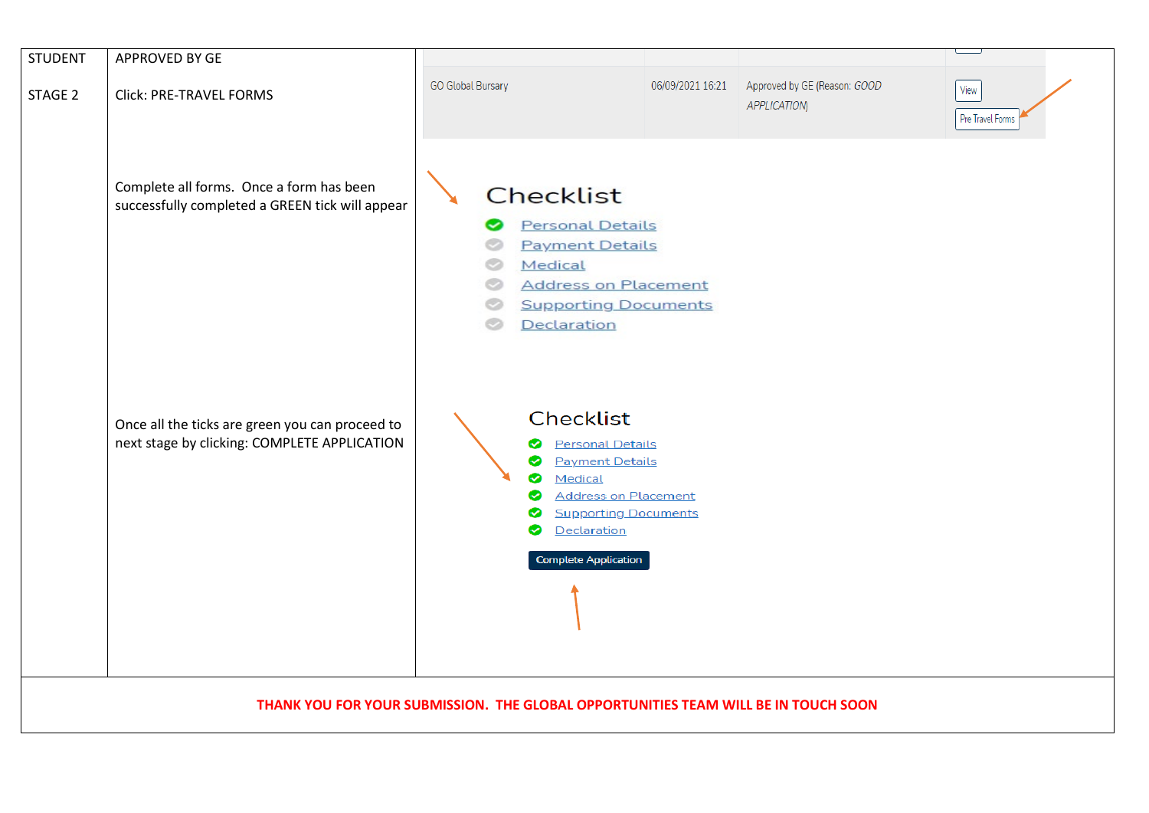| <b>STUDENT</b> | APPROVED BY GE                                                                                  |                                                                                                                                                                                                           |                  |                                                    |                          |
|----------------|-------------------------------------------------------------------------------------------------|-----------------------------------------------------------------------------------------------------------------------------------------------------------------------------------------------------------|------------------|----------------------------------------------------|--------------------------|
| STAGE 2        | Click: PRE-TRAVEL FORMS                                                                         | <b>GO Global Bursary</b>                                                                                                                                                                                  | 06/09/2021 16:21 | Approved by GE (Reason: GOOD<br><b>APPLICATION</b> | View<br>Pre Travel Forms |
|                | Complete all forms. Once a form has been<br>successfully completed a GREEN tick will appear     | <b>Checklist</b><br><b>Personal Details</b><br><b>Payment Details</b><br>Medical<br><b>Address on Placement</b><br><b>Supporting Documents</b><br>Declaration                                             |                  |                                                    |                          |
|                | Once all the ticks are green you can proceed to<br>next stage by clicking: COMPLETE APPLICATION | Checklist<br><b>Personal Details</b><br>◙<br><b>Payment Details</b><br>◎<br>Medical<br>◙<br><b>Address on Placement</b><br>◙<br><b>Supporting Documents</b><br>Declaration<br><b>Complete Application</b> |                  |                                                    |                          |
|                |                                                                                                 | THANK YOU FOR YOUR SUBMISSION. THE GLOBAL OPPORTUNITIES TEAM WILL BE IN TOUCH SOON                                                                                                                        |                  |                                                    |                          |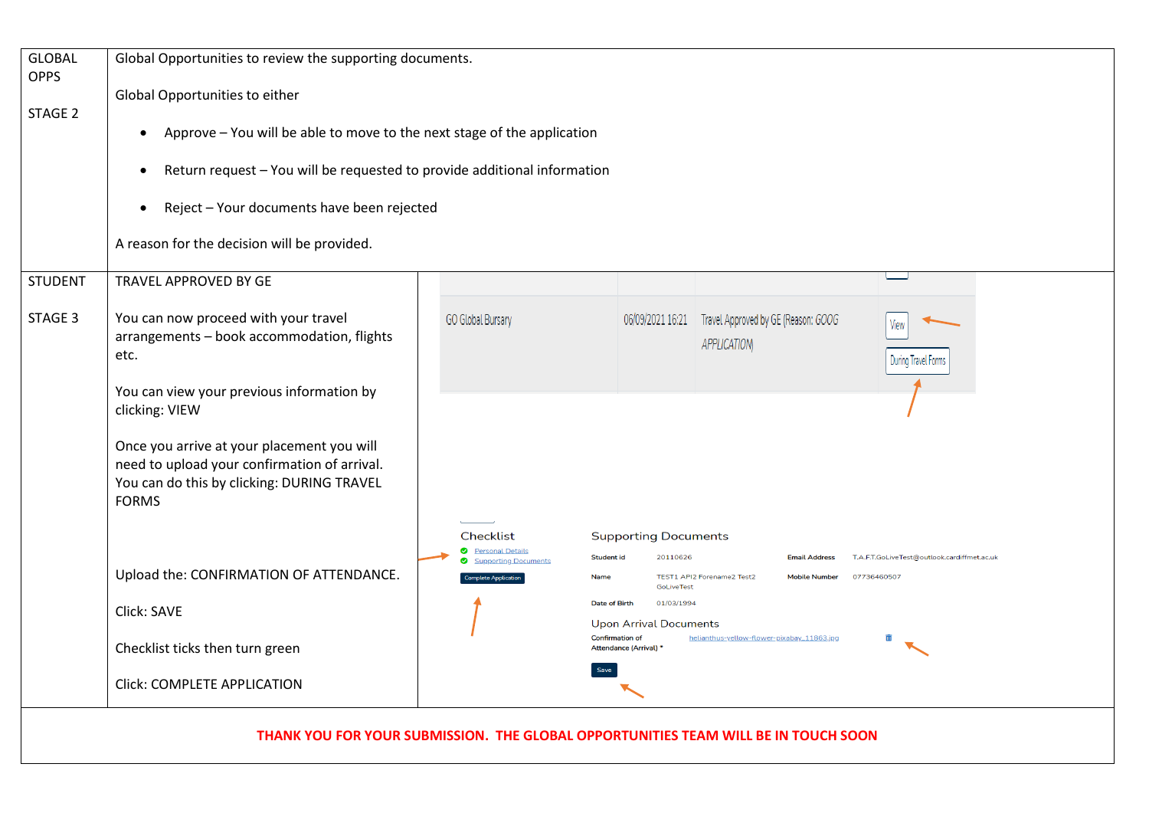| <b>GLOBAL</b><br><b>OPPS</b> | Global Opportunities to review the supporting documents.                                                                                                 |                                                            |                                                                                                                                                                                                 |  |  |  |  |
|------------------------------|----------------------------------------------------------------------------------------------------------------------------------------------------------|------------------------------------------------------------|-------------------------------------------------------------------------------------------------------------------------------------------------------------------------------------------------|--|--|--|--|
|                              | Global Opportunities to either                                                                                                                           |                                                            |                                                                                                                                                                                                 |  |  |  |  |
| STAGE 2                      | Approve - You will be able to move to the next stage of the application<br>$\bullet$                                                                     |                                                            |                                                                                                                                                                                                 |  |  |  |  |
|                              | Return request - You will be requested to provide additional information<br>$\bullet$                                                                    |                                                            |                                                                                                                                                                                                 |  |  |  |  |
|                              | Reject - Your documents have been rejected<br>٠                                                                                                          |                                                            |                                                                                                                                                                                                 |  |  |  |  |
|                              | A reason for the decision will be provided.                                                                                                              |                                                            |                                                                                                                                                                                                 |  |  |  |  |
| <b>STUDENT</b>               | TRAVEL APPROVED BY GE                                                                                                                                    |                                                            |                                                                                                                                                                                                 |  |  |  |  |
| STAGE 3                      | You can now proceed with your travel<br>arrangements - book accommodation, flights<br>etc.                                                               | <b>GO Global Bursary</b>                                   | 06/09/2021 16:21 Travel Approved by GE (Reason: GOOG<br>View<br><b>APPLICATION</b><br>During Travel Forms                                                                                       |  |  |  |  |
|                              | You can view your previous information by<br>clicking: VIEW                                                                                              |                                                            |                                                                                                                                                                                                 |  |  |  |  |
|                              | Once you arrive at your placement you will<br>need to upload your confirmation of arrival.<br>You can do this by clicking: DURING TRAVEL<br><b>FORMS</b> |                                                            |                                                                                                                                                                                                 |  |  |  |  |
|                              |                                                                                                                                                          | Checklist<br>◙<br><b>Personal Details</b>                  | <b>Supporting Documents</b>                                                                                                                                                                     |  |  |  |  |
|                              | Upload the: CONFIRMATION OF ATTENDANCE.                                                                                                                  | <b>Supporting Documents</b><br><b>Complete Application</b> | <b>Student id</b><br>20110626<br>T.A.F.T.GoLiveTest@outlook.cardiffmet.ac.uk<br><b>Email Address</b><br>TEST1 API2 Forename2 Test2<br>Name<br><b>Mobile Number</b><br>07736460507<br>GoLiveTest |  |  |  |  |
|                              | Click: SAVE                                                                                                                                              |                                                            | 01/03/1994<br>Date of Birth<br><b>Upon Arrival Documents</b>                                                                                                                                    |  |  |  |  |
|                              | Checklist ticks then turn green                                                                                                                          |                                                            | <b>Confirmation of</b><br>helianthus-yellow-flower-pixabay_11863.jpg<br>Attendance (Arrival) *                                                                                                  |  |  |  |  |
| Click: COMPLETE APPLICATION  |                                                                                                                                                          |                                                            |                                                                                                                                                                                                 |  |  |  |  |

**THANK YOU FOR YOUR SUBMISSION. THE GLOBAL OPPORTUNITIES TEAM WILL BE IN TOUCH SOON**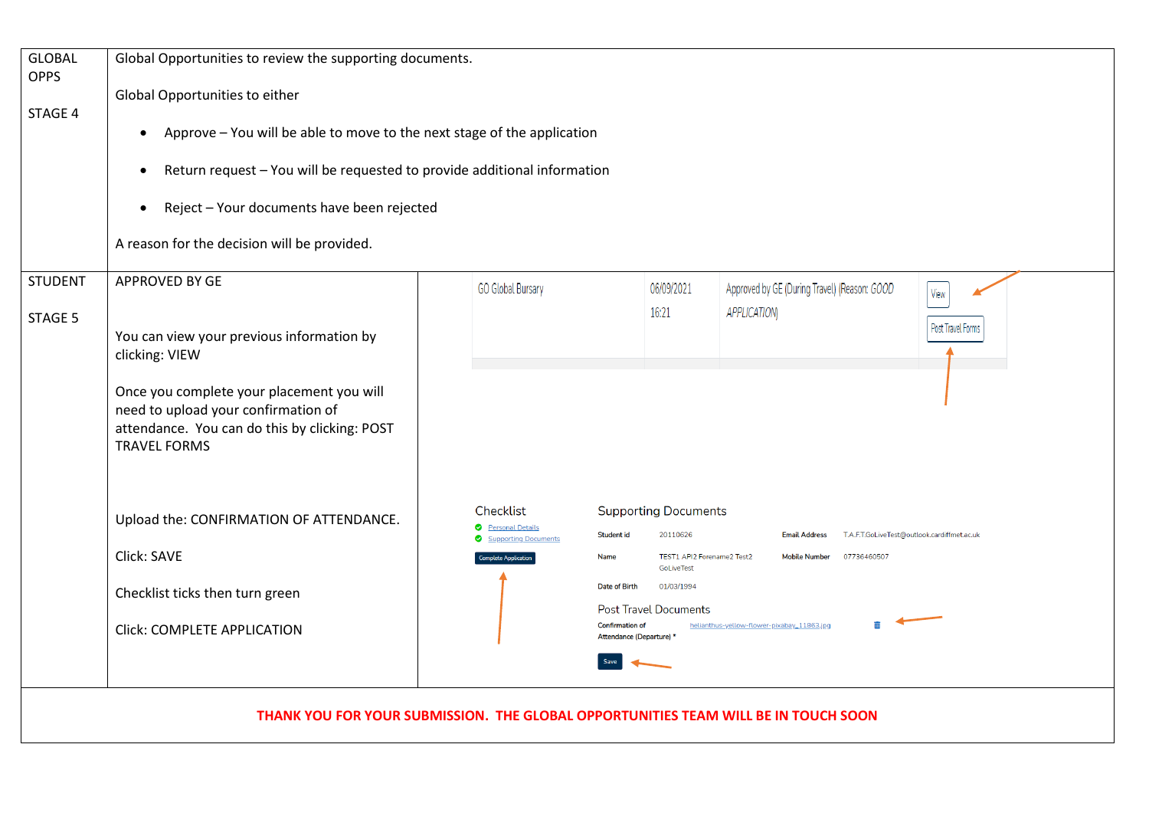| <b>GLOBAL</b><br><b>OPPS</b> | Global Opportunities to review the supporting documents.                                                                                                                                                                                                                                |                                                   |                                                                                                      |                                                                    |                   |  |  |
|------------------------------|-----------------------------------------------------------------------------------------------------------------------------------------------------------------------------------------------------------------------------------------------------------------------------------------|---------------------------------------------------|------------------------------------------------------------------------------------------------------|--------------------------------------------------------------------|-------------------|--|--|
|                              | Global Opportunities to either                                                                                                                                                                                                                                                          |                                                   |                                                                                                      |                                                                    |                   |  |  |
| STAGE 4                      | Approve - You will be able to move to the next stage of the application<br>$\bullet$<br>Return request - You will be requested to provide additional information<br>$\bullet$<br>Reject - Your documents have been rejected<br>$\bullet$<br>A reason for the decision will be provided. |                                                   |                                                                                                      |                                                                    |                   |  |  |
|                              |                                                                                                                                                                                                                                                                                         |                                                   |                                                                                                      |                                                                    |                   |  |  |
|                              |                                                                                                                                                                                                                                                                                         |                                                   |                                                                                                      |                                                                    |                   |  |  |
|                              |                                                                                                                                                                                                                                                                                         |                                                   |                                                                                                      |                                                                    |                   |  |  |
| <b>STUDENT</b>               | <b>APPROVED BY GE</b>                                                                                                                                                                                                                                                                   | <b>GO Global Bursary</b>                          | 06/09/2021<br>16:21                                                                                  | Approved by GE (During Travel) (Reason: GOOD<br><b>APPLICATION</b> | View              |  |  |
| STAGE 5                      | You can view your previous information by<br>clicking: VIEW                                                                                                                                                                                                                             |                                                   |                                                                                                      |                                                                    | Post Travel Forms |  |  |
|                              | Once you complete your placement you will<br>need to upload your confirmation of<br>attendance. You can do this by clicking: POST<br><b>TRAVEL FORMS</b>                                                                                                                                |                                                   |                                                                                                      |                                                                    |                   |  |  |
|                              | Upload the: CONFIRMATION OF ATTENDANCE.                                                                                                                                                                                                                                                 | Checklist                                         | <b>Supporting Documents</b>                                                                          |                                                                    |                   |  |  |
|                              |                                                                                                                                                                                                                                                                                         | <b>O</b> Personal Details<br>Supporting Documents | <b>Student id</b><br>20110626<br><b>Email Address</b><br>T.A.F.T.GoLiveTest@outlook.cardiffmet.ac.uk |                                                                    |                   |  |  |
|                              | Click: SAVE                                                                                                                                                                                                                                                                             | <b>Complete Application</b>                       | TEST1 API2 Forename2 Test2<br>Name<br>GoLiveTest                                                     | 07736460507<br><b>Mobile Number</b>                                |                   |  |  |
|                              | Checklist ticks then turn green                                                                                                                                                                                                                                                         |                                                   | Date of Birth<br>01/03/1994<br><b>Post Travel Documents</b>                                          |                                                                    |                   |  |  |
|                              | <b>Click: COMPLETE APPLICATION</b>                                                                                                                                                                                                                                                      |                                                   | <b>Confirmation of</b><br>Attendance (Departure) *                                                   | helianthus-yellow-flower-pixabay_11863.jpg                         |                   |  |  |
|                              |                                                                                                                                                                                                                                                                                         |                                                   |                                                                                                      |                                                                    |                   |  |  |
|                              | THANK YOU FOR YOUR SUBMISSION. THE GLOBAL OPPORTUNITIES TEAM WILL BE IN TOUCH SOON                                                                                                                                                                                                      |                                                   |                                                                                                      |                                                                    |                   |  |  |